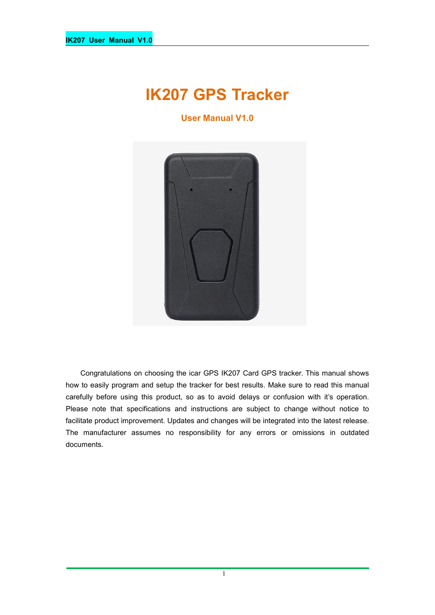# **IK207 GPS Tracker**

**User Manual V1.0**



Congratulations on choosing the icar GPS IK207 Card GPS tracker. This manual shows how to easily program and setup the tracker for best results. Make sure to read this manual carefully before using this product, so as to avoid delays or confusion with it's operation. Please note that specifications and instructions are subject to change without notice to facilitate product improvement. Updates and changes will be integrated into the latest release. The manufacturer assumes no responsibility for any errors or omissions in outdated documents.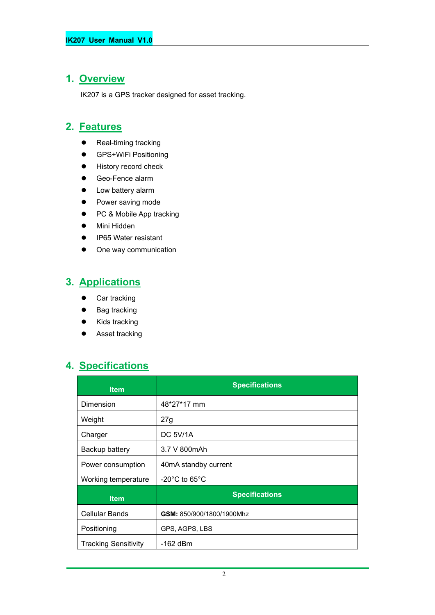### **1. Overview**

IK207 is a GPS tracker designed for asset tracking.

# **2. Features**

- Real-timing tracking
- **•** GPS+WiFi Positioning
- **•** History record check
- Geo-Fence alarm
- Low battery alarm
- Power saving mode
- PC & Mobile App tracking
- Mini Hidden
- IP65 Water resistant
- One way communication

# **3. Applications**

- **•** Car tracking
- Bag tracking
- Kids tracking
- Asset tracking

### **4. Specifications**

| <b>Item</b>                 | <b>Specifications</b>              |
|-----------------------------|------------------------------------|
| Dimension                   | 48*27*17 mm                        |
| Weight                      | 27g                                |
| Charger                     | <b>DC 5V/1A</b>                    |
| Backup battery              | 3.7 V 800mAh                       |
| Power consumption           | 40mA standby current               |
| Working temperature         | $-20^{\circ}$ C to 65 $^{\circ}$ C |
| <b>Item</b>                 | <b>Specifications</b>              |
| <b>Cellular Bands</b>       | GSM: 850/900/1800/1900Mhz          |
| Positioning                 | GPS, AGPS, LBS                     |
| <b>Tracking Sensitivity</b> | -162 dBm                           |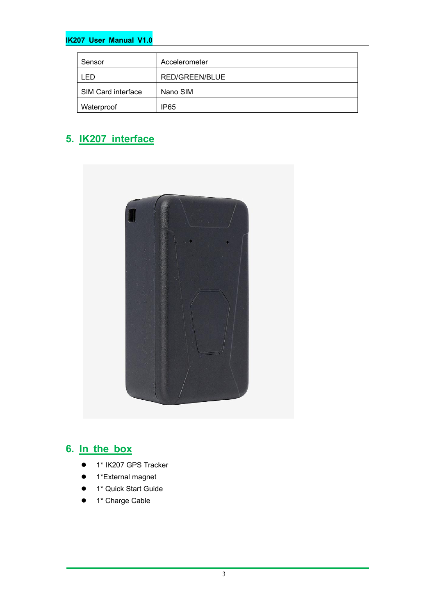#### **IK207 User Manual V1.0**

| Sensor             | Accelerometer    |
|--------------------|------------------|
| -ED                | RED/GREEN/BLUE   |
| SIM Card interface | Nano SIM         |
| Waterproof         | IP <sub>65</sub> |

# **5. IK207 interface**



### **6. In the box**

- 1\* IK207 GPS Tracker
- 1\*External magnet
- 1\* Quick Start Guide
- 1\* Charge Cable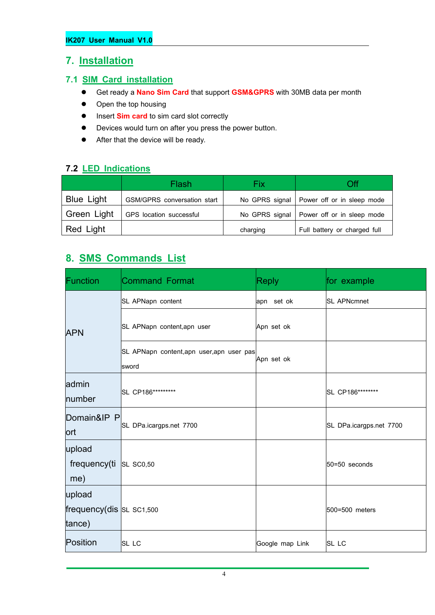### **7. Installation**

#### **7.1 SIM Card installation**

- Get ready a **Nano Sim Card** that support **GSM&GPRS** with30MB data per month
- Open the top housing
- $\bullet$  Insert **Sim card** to sim card slot correctly
- Devices would turn on after you press the power button.
- After that the device will be ready.

### **7.2 LED Indications**

|                   | Flash                       | Fix      | Эff                                         |
|-------------------|-----------------------------|----------|---------------------------------------------|
| <b>Blue Light</b> | GSM/GPRS conversation start |          | No GPRS signal   Power off or in sleep mode |
| Green Light       | GPS location successful     |          | No GPRS signal   Power off or in sleep mode |
| Red Light         |                             | charging | Full battery or charged full                |

### **8. SMS Commands List**

| Function                    | <b>Command Format</b>                              | <b>Reply</b>    | for example             |  |
|-----------------------------|----------------------------------------------------|-----------------|-------------------------|--|
|                             | SL APNapn content                                  | apn set ok      | <b>SL APNcmnet</b>      |  |
| <b>APN</b>                  | SL APNapn content, apn user                        | Apn set ok      |                         |  |
|                             | SL APNapn content, apn user, apn user pas<br>sword | Apn set ok      |                         |  |
| admin                       | SL CP186*********                                  |                 |                         |  |
| number                      |                                                    |                 | SL CP186********        |  |
| Domain&IP P<br>lort         | SL DPa.icargps.net 7700                            |                 | SL DPa.icargps.net 7700 |  |
| upload                      |                                                    |                 |                         |  |
| frequency(ti                | <b>SL SC0,50</b>                                   |                 | $50 = 50$ seconds       |  |
| me)                         |                                                    |                 |                         |  |
| upload                      |                                                    |                 |                         |  |
| frequency(dis $ SL$ sc1,500 |                                                    |                 | 500=500 meters          |  |
| tance)                      |                                                    |                 |                         |  |
| Position                    | $SL$ LC                                            | Google map Link | SL LC                   |  |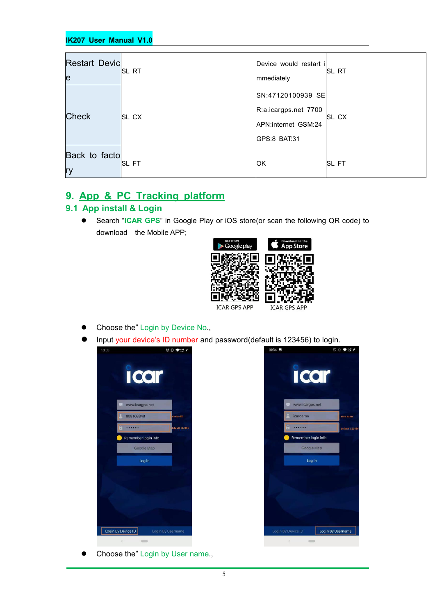| <b>Restart Devic</b><br>le | <b>ISL RT</b> | Device would restart i<br>mmediately                                             | ISL RT       |
|----------------------------|---------------|----------------------------------------------------------------------------------|--------------|
| <b>Check</b>               | <b>SL CX</b>  | SN:47120100939 SE<br>R:a.icargps.net 7700<br>APN:internet GSM:24<br>GPS:8 BAT:31 | <b>SL CX</b> |
| Back to facto<br> ry       | <b>ISL FT</b> | <b>IOK</b>                                                                       | <b>SLFT</b>  |

### **9. App & PC Tracking platform**

#### **9.1 App install & Login**

 Search "**ICAR GPS**" in Google Play or iOS store(or scan the following QR code) to download the Mobile APP;



- Choose the" Login by Device No.,
- Input your device's ID number and password(default is 123456) to login.



Choose the" Login by User name.,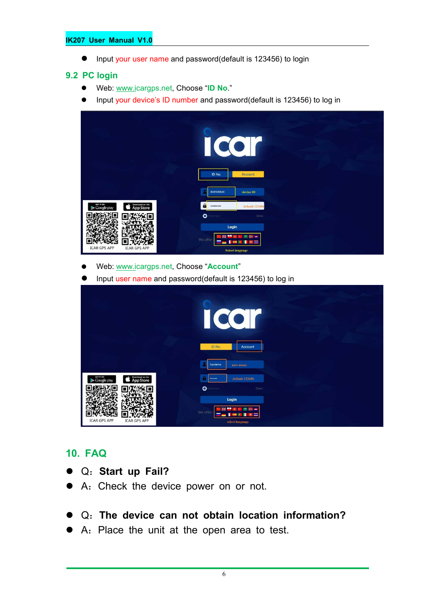#### **IK207 User Manual V1.0**

● Input your user name and password(default is 123456) to login

#### **9.2 PC login**

- Web: [www.ic](http://www.trackits.com)argps.net, Choose "**ID No**."
- Input your device's ID number and password(default is 123456) to log in

|                                                          | <b>COI</b><br>I<br>ID No.<br>Account                                          |  |
|----------------------------------------------------------|-------------------------------------------------------------------------------|--|
| GIT IT ON<br>Google play<br>Download on the<br>App Store | 808108848<br>device ID<br>$\mathbf{a}$<br>default 123456<br>                  |  |
|                                                          | $\bullet$<br>tenember<br>Demo<br>Login                                        |  |
| <b>ICAR GPS APP</b><br><b>ICAR GPS APP</b>               | m a<br><b>MAG</b><br>We offer<br><b>DOM: N</b><br>=<br><b>Select language</b> |  |

Web: [www.ic](http://www.trackits.com)argps.net, Choose "**Account**"

Input user name and password(default is 123456) to log in

|                                                          | $\bullet$<br>$\bullet$<br>$\big($<br>ID No.<br>Account |  |
|----------------------------------------------------------|--------------------------------------------------------|--|
|                                                          | icardemo<br>user name                                  |  |
| Download on the<br>App Store<br>GET IT ON<br>Google play | default 123456<br>                                     |  |
|                                                          | $O$ For entire<br>Demo                                 |  |
| <b>ICAR GPS APP</b><br><b>ICAR GPS APP</b>               | Login<br>m<br>We offer<br>select language              |  |

### **10. FAQ**

- Q:**Start up Fail?**
- A:Check the device power on or not.
- Q:**The device can notobtain location information?**
- A: Place the unit at the open area to test.